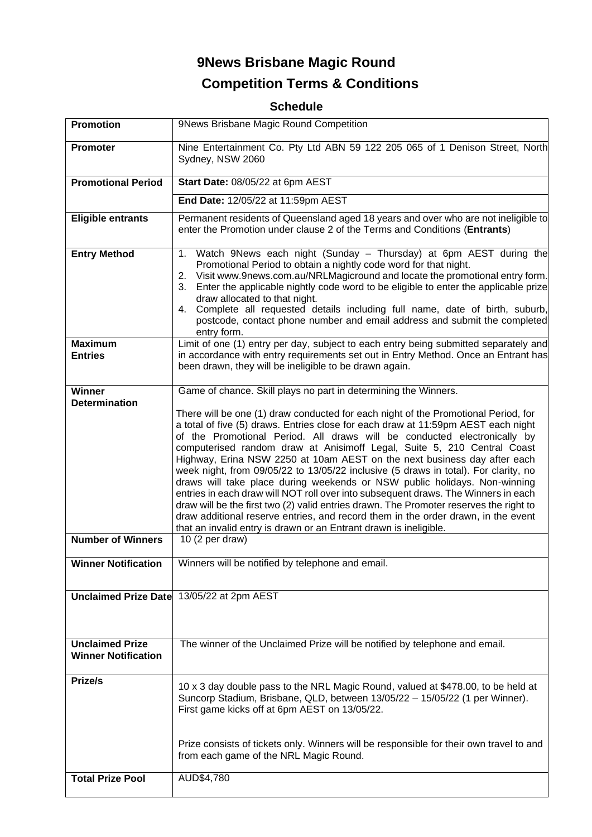# **9News Brisbane Magic Round Competition Terms & Conditions**

## **Schedule**

| <b>Promotion</b>                                                  | 9News Brisbane Magic Round Competition                                                                                                                                                                                                                                                                                                                                                                                                                                                                                                                                                                                                                                                                                                                                                                                                                                                                                                                                                                         |
|-------------------------------------------------------------------|----------------------------------------------------------------------------------------------------------------------------------------------------------------------------------------------------------------------------------------------------------------------------------------------------------------------------------------------------------------------------------------------------------------------------------------------------------------------------------------------------------------------------------------------------------------------------------------------------------------------------------------------------------------------------------------------------------------------------------------------------------------------------------------------------------------------------------------------------------------------------------------------------------------------------------------------------------------------------------------------------------------|
| <b>Promoter</b>                                                   | Nine Entertainment Co. Pty Ltd ABN 59 122 205 065 of 1 Denison Street, North<br>Sydney, NSW 2060                                                                                                                                                                                                                                                                                                                                                                                                                                                                                                                                                                                                                                                                                                                                                                                                                                                                                                               |
| <b>Promotional Period</b>                                         | Start Date: 08/05/22 at 6pm AEST                                                                                                                                                                                                                                                                                                                                                                                                                                                                                                                                                                                                                                                                                                                                                                                                                                                                                                                                                                               |
|                                                                   | End Date: 12/05/22 at 11:59pm AEST                                                                                                                                                                                                                                                                                                                                                                                                                                                                                                                                                                                                                                                                                                                                                                                                                                                                                                                                                                             |
| <b>Eligible entrants</b>                                          | Permanent residents of Queensland aged 18 years and over who are not ineligible to<br>enter the Promotion under clause 2 of the Terms and Conditions (Entrants)                                                                                                                                                                                                                                                                                                                                                                                                                                                                                                                                                                                                                                                                                                                                                                                                                                                |
| <b>Entry Method</b>                                               | Watch 9News each night (Sunday - Thursday) at 6pm AEST during the<br>1.<br>Promotional Period to obtain a nightly code word for that night.<br>Visit www.9news.com.au/NRLMagicround and locate the promotional entry form.<br>2.<br>Enter the applicable nightly code word to be eligible to enter the applicable prize<br>3.<br>draw allocated to that night.<br>4. Complete all requested details including full name, date of birth, suburb,<br>postcode, contact phone number and email address and submit the completed<br>entry form.                                                                                                                                                                                                                                                                                                                                                                                                                                                                    |
| <b>Maximum</b><br><b>Entries</b>                                  | Limit of one (1) entry per day, subject to each entry being submitted separately and<br>in accordance with entry requirements set out in Entry Method. Once an Entrant has<br>been drawn, they will be ineligible to be drawn again.                                                                                                                                                                                                                                                                                                                                                                                                                                                                                                                                                                                                                                                                                                                                                                           |
| <b>Winner</b><br><b>Determination</b><br><b>Number of Winners</b> | Game of chance. Skill plays no part in determining the Winners.<br>There will be one (1) draw conducted for each night of the Promotional Period, for<br>a total of five (5) draws. Entries close for each draw at 11:59pm AEST each night<br>of the Promotional Period. All draws will be conducted electronically by<br>computerised random draw at Anisimoff Legal, Suite 5, 210 Central Coast<br>Highway, Erina NSW 2250 at 10am AEST on the next business day after each<br>week night, from 09/05/22 to 13/05/22 inclusive (5 draws in total). For clarity, no<br>draws will take place during weekends or NSW public holidays. Non-winning<br>entries in each draw will NOT roll over into subsequent draws. The Winners in each<br>draw will be the first two (2) valid entries drawn. The Promoter reserves the right to<br>draw additional reserve entries, and record them in the order drawn, in the event<br>that an invalid entry is drawn or an Entrant drawn is ineligible.<br>10 (2 per draw) |
| <b>Winner Notification</b>                                        | Winners will be notified by telephone and email.                                                                                                                                                                                                                                                                                                                                                                                                                                                                                                                                                                                                                                                                                                                                                                                                                                                                                                                                                               |
|                                                                   | Unclaimed Prize Date 13/05/22 at 2pm AEST                                                                                                                                                                                                                                                                                                                                                                                                                                                                                                                                                                                                                                                                                                                                                                                                                                                                                                                                                                      |
| <b>Unclaimed Prize</b><br><b>Winner Notification</b>              | The winner of the Unclaimed Prize will be notified by telephone and email.                                                                                                                                                                                                                                                                                                                                                                                                                                                                                                                                                                                                                                                                                                                                                                                                                                                                                                                                     |
| Prize/s                                                           | 10 x 3 day double pass to the NRL Magic Round, valued at \$478.00, to be held at<br>Suncorp Stadium, Brisbane, QLD, between 13/05/22 - 15/05/22 (1 per Winner).<br>First game kicks off at 6pm AEST on 13/05/22.<br>Prize consists of tickets only. Winners will be responsible for their own travel to and<br>from each game of the NRL Magic Round.                                                                                                                                                                                                                                                                                                                                                                                                                                                                                                                                                                                                                                                          |
| <b>Total Prize Pool</b>                                           | AUD\$4,780                                                                                                                                                                                                                                                                                                                                                                                                                                                                                                                                                                                                                                                                                                                                                                                                                                                                                                                                                                                                     |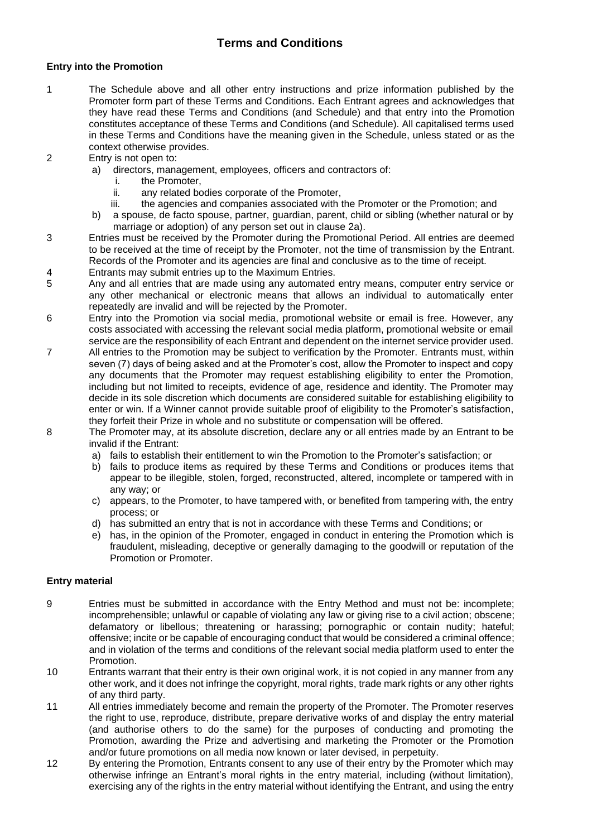### **Terms and Conditions**

#### **Entry into the Promotion**

- 1 The Schedule above and all other entry instructions and prize information published by the Promoter form part of these Terms and Conditions. Each Entrant agrees and acknowledges that they have read these Terms and Conditions (and Schedule) and that entry into the Promotion constitutes acceptance of these Terms and Conditions (and Schedule). All capitalised terms used in these Terms and Conditions have the meaning given in the Schedule, unless stated or as the context otherwise provides.
- 2 Entry is not open to:
	- a) directors, management, employees, officers and contractors of:
		- i. the Promoter,
		- ii. any related bodies corporate of the Promoter,<br>iii. the agencies and companies associated with t
		- the agencies and companies associated with the Promoter or the Promotion; and
	- b) a spouse, de facto spouse, partner, guardian, parent, child or sibling (whether natural or by marriage or adoption) of any person set out in clause 2a).
- 3 Entries must be received by the Promoter during the Promotional Period. All entries are deemed to be received at the time of receipt by the Promoter, not the time of transmission by the Entrant. Records of the Promoter and its agencies are final and conclusive as to the time of receipt.
- 4 Entrants may submit entries up to the Maximum Entries.
- 5 Any and all entries that are made using any automated entry means, computer entry service or any other mechanical or electronic means that allows an individual to automatically enter repeatedly are invalid and will be rejected by the Promoter.
- 6 Entry into the Promotion via social media, promotional website or email is free. However, any costs associated with accessing the relevant social media platform, promotional website or email service are the responsibility of each Entrant and dependent on the internet service provider used.
- 7 All entries to the Promotion may be subject to verification by the Promoter. Entrants must, within seven (7) days of being asked and at the Promoter's cost, allow the Promoter to inspect and copy any documents that the Promoter may request establishing eligibility to enter the Promotion, including but not limited to receipts, evidence of age, residence and identity. The Promoter may decide in its sole discretion which documents are considered suitable for establishing eligibility to enter or win. If a Winner cannot provide suitable proof of eligibility to the Promoter's satisfaction, they forfeit their Prize in whole and no substitute or compensation will be offered.
- 8 The Promoter may, at its absolute discretion, declare any or all entries made by an Entrant to be invalid if the Entrant:
	- a) fails to establish their entitlement to win the Promotion to the Promoter's satisfaction; or
	- b) fails to produce items as required by these Terms and Conditions or produces items that appear to be illegible, stolen, forged, reconstructed, altered, incomplete or tampered with in any way; or
	- c) appears, to the Promoter, to have tampered with, or benefited from tampering with, the entry process; or
	- d) has submitted an entry that is not in accordance with these Terms and Conditions; or
	- e) has, in the opinion of the Promoter, engaged in conduct in entering the Promotion which is fraudulent, misleading, deceptive or generally damaging to the goodwill or reputation of the Promotion or Promoter.

#### **Entry material**

- 9 Entries must be submitted in accordance with the Entry Method and must not be: incomplete; incomprehensible; unlawful or capable of violating any law or giving rise to a civil action; obscene; defamatory or libellous; threatening or harassing; pornographic or contain nudity; hateful; offensive; incite or be capable of encouraging conduct that would be considered a criminal offence; and in violation of the terms and conditions of the relevant social media platform used to enter the Promotion.
- 10 Entrants warrant that their entry is their own original work, it is not copied in any manner from any other work, and it does not infringe the copyright, moral rights, trade mark rights or any other rights of any third party.
- 11 All entries immediately become and remain the property of the Promoter. The Promoter reserves the right to use, reproduce, distribute, prepare derivative works of and display the entry material (and authorise others to do the same) for the purposes of conducting and promoting the Promotion, awarding the Prize and advertising and marketing the Promoter or the Promotion and/or future promotions on all media now known or later devised, in perpetuity.
- 12 By entering the Promotion, Entrants consent to any use of their entry by the Promoter which may otherwise infringe an Entrant's moral rights in the entry material, including (without limitation), exercising any of the rights in the entry material without identifying the Entrant, and using the entry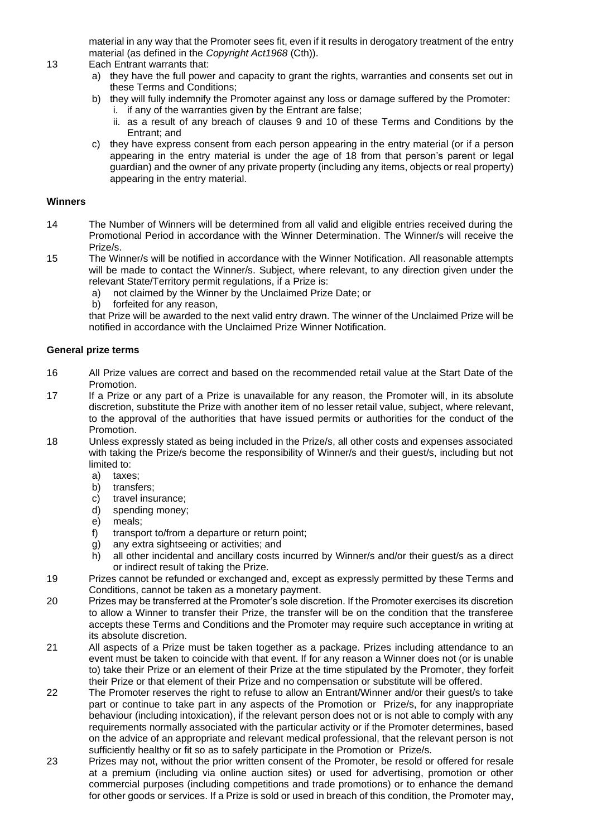material in any way that the Promoter sees fit, even if it results in derogatory treatment of the entry material (as defined in the *Copyright Act1968* (Cth)).

- 13 Each Entrant warrants that:
	- a) they have the full power and capacity to grant the rights, warranties and consents set out in these Terms and Conditions;
	- b) they will fully indemnify the Promoter against any loss or damage suffered by the Promoter: i. if any of the warranties given by the Entrant are false;
		- ii. as a result of any breach of clauses 9 and 10 of these Terms and Conditions by the Entrant; and
	- c) they have express consent from each person appearing in the entry material (or if a person appearing in the entry material is under the age of 18 from that person's parent or legal guardian) and the owner of any private property (including any items, objects or real property) appearing in the entry material.

#### **Winners**

- 14 The Number of Winners will be determined from all valid and eligible entries received during the Promotional Period in accordance with the Winner Determination. The Winner/s will receive the Prize/s.
- 15 The Winner/s will be notified in accordance with the Winner Notification. All reasonable attempts will be made to contact the Winner/s. Subject, where relevant, to any direction given under the relevant State/Territory permit regulations, if a Prize is:
	- a) not claimed by the Winner by the Unclaimed Prize Date; or
	- b) forfeited for any reason,

that Prize will be awarded to the next valid entry drawn. The winner of the Unclaimed Prize will be notified in accordance with the Unclaimed Prize Winner Notification.

#### **General prize terms**

- 16 All Prize values are correct and based on the recommended retail value at the Start Date of the Promotion.
- 17 If a Prize or any part of a Prize is unavailable for any reason, the Promoter will, in its absolute discretion, substitute the Prize with another item of no lesser retail value, subject, where relevant, to the approval of the authorities that have issued permits or authorities for the conduct of the Promotion.
- 18 Unless expressly stated as being included in the Prize/s, all other costs and expenses associated with taking the Prize/s become the responsibility of Winner/s and their guest/s, including but not limited to:
	- a) taxes;
	- b) transfers;
	- c) travel insurance;
	- d) spending money;
	- e) meals;
	- f) transport to/from a departure or return point;
	- g) any extra sightseeing or activities; and
	- h) all other incidental and ancillary costs incurred by Winner/s and/or their guest/s as a direct or indirect result of taking the Prize.
- 19 Prizes cannot be refunded or exchanged and, except as expressly permitted by these Terms and Conditions, cannot be taken as a monetary payment.
- 20 Prizes may be transferred at the Promoter's sole discretion. If the Promoter exercises its discretion to allow a Winner to transfer their Prize, the transfer will be on the condition that the transferee accepts these Terms and Conditions and the Promoter may require such acceptance in writing at its absolute discretion.
- 21 All aspects of a Prize must be taken together as a package. Prizes including attendance to an event must be taken to coincide with that event. If for any reason a Winner does not (or is unable to) take their Prize or an element of their Prize at the time stipulated by the Promoter, they forfeit their Prize or that element of their Prize and no compensation or substitute will be offered.
- 22 The Promoter reserves the right to refuse to allow an Entrant/Winner and/or their guest/s to take part or continue to take part in any aspects of the Promotion or Prize/s, for any inappropriate behaviour (including intoxication), if the relevant person does not or is not able to comply with any requirements normally associated with the particular activity or if the Promoter determines, based on the advice of an appropriate and relevant medical professional, that the relevant person is not sufficiently healthy or fit so as to safely participate in the Promotion or Prize/s.
- 23 Prizes may not, without the prior written consent of the Promoter, be resold or offered for resale at a premium (including via online auction sites) or used for advertising, promotion or other commercial purposes (including competitions and trade promotions) or to enhance the demand for other goods or services. If a Prize is sold or used in breach of this condition, the Promoter may,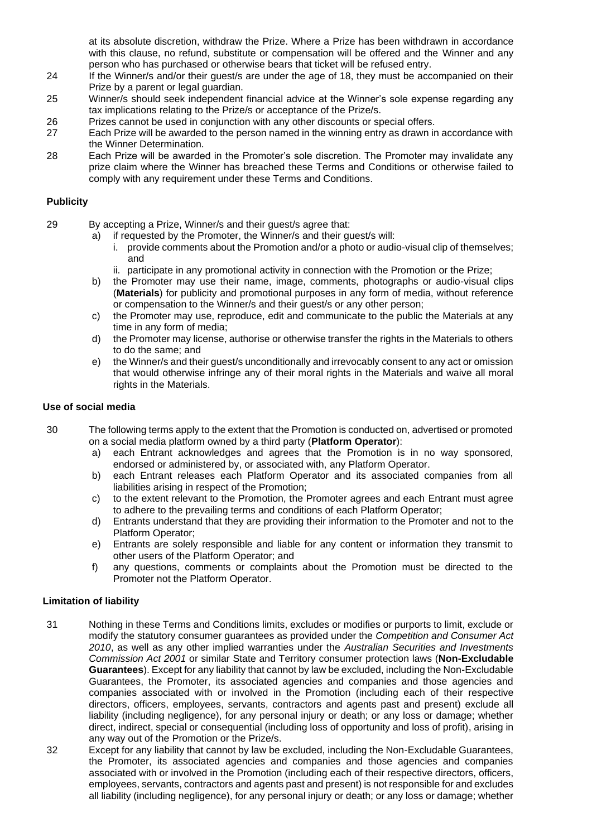at its absolute discretion, withdraw the Prize. Where a Prize has been withdrawn in accordance with this clause, no refund, substitute or compensation will be offered and the Winner and any person who has purchased or otherwise bears that ticket will be refused entry.

- 24 If the Winner/s and/or their guest/s are under the age of 18, they must be accompanied on their Prize by a parent or legal guardian.
- 25 Winner/s should seek independent financial advice at the Winner's sole expense regarding any tax implications relating to the Prize/s or acceptance of the Prize/s.
- 26 Prizes cannot be used in conjunction with any other discounts or special offers.
- 27 Each Prize will be awarded to the person named in the winning entry as drawn in accordance with the Winner Determination.
- 28 Each Prize will be awarded in the Promoter's sole discretion. The Promoter may invalidate any prize claim where the Winner has breached these Terms and Conditions or otherwise failed to comply with any requirement under these Terms and Conditions.

#### **Publicity**

- 29 By accepting a Prize, Winner/s and their guest/s agree that:
	- a) if requested by the Promoter, the Winner/s and their guest/s will:
		- i. provide comments about the Promotion and/or a photo or audio-visual clip of themselves; and
		- ii. participate in any promotional activity in connection with the Promotion or the Prize;
	- b) the Promoter may use their name, image, comments, photographs or audio-visual clips (**Materials**) for publicity and promotional purposes in any form of media, without reference or compensation to the Winner/s and their guest/s or any other person;
	- c) the Promoter may use, reproduce, edit and communicate to the public the Materials at any time in any form of media;
	- d) the Promoter may license, authorise or otherwise transfer the rights in the Materials to others to do the same; and
	- e) the Winner/s and their guest/s unconditionally and irrevocably consent to any act or omission that would otherwise infringe any of their moral rights in the Materials and waive all moral rights in the Materials.

#### **Use of social media**

- 30 The following terms apply to the extent that the Promotion is conducted on, advertised or promoted on a social media platform owned by a third party (**Platform Operator**):
	- a) each Entrant acknowledges and agrees that the Promotion is in no way sponsored, endorsed or administered by, or associated with, any Platform Operator.
	- b) each Entrant releases each Platform Operator and its associated companies from all liabilities arising in respect of the Promotion;
	- c) to the extent relevant to the Promotion, the Promoter agrees and each Entrant must agree to adhere to the prevailing terms and conditions of each Platform Operator;
	- d) Entrants understand that they are providing their information to the Promoter and not to the Platform Operator;
	- e) Entrants are solely responsible and liable for any content or information they transmit to other users of the Platform Operator; and
	- f) any questions, comments or complaints about the Promotion must be directed to the Promoter not the Platform Operator.

#### **Limitation of liability**

- 31 Nothing in these Terms and Conditions limits, excludes or modifies or purports to limit, exclude or modify the statutory consumer guarantees as provided under the *Competition and Consumer Act 2010*, as well as any other implied warranties under the *Australian Securities and Investments Commission Act 2001* or similar State and Territory consumer protection laws (**Non-Excludable Guarantees**). Except for any liability that cannot by law be excluded, including the Non-Excludable Guarantees, the Promoter, its associated agencies and companies and those agencies and companies associated with or involved in the Promotion (including each of their respective directors, officers, employees, servants, contractors and agents past and present) exclude all liability (including negligence), for any personal injury or death; or any loss or damage; whether direct, indirect, special or consequential (including loss of opportunity and loss of profit), arising in any way out of the Promotion or the Prize/s.
- 32 Except for any liability that cannot by law be excluded, including the Non-Excludable Guarantees, the Promoter, its associated agencies and companies and those agencies and companies associated with or involved in the Promotion (including each of their respective directors, officers, employees, servants, contractors and agents past and present) is not responsible for and excludes all liability (including negligence), for any personal injury or death; or any loss or damage; whether